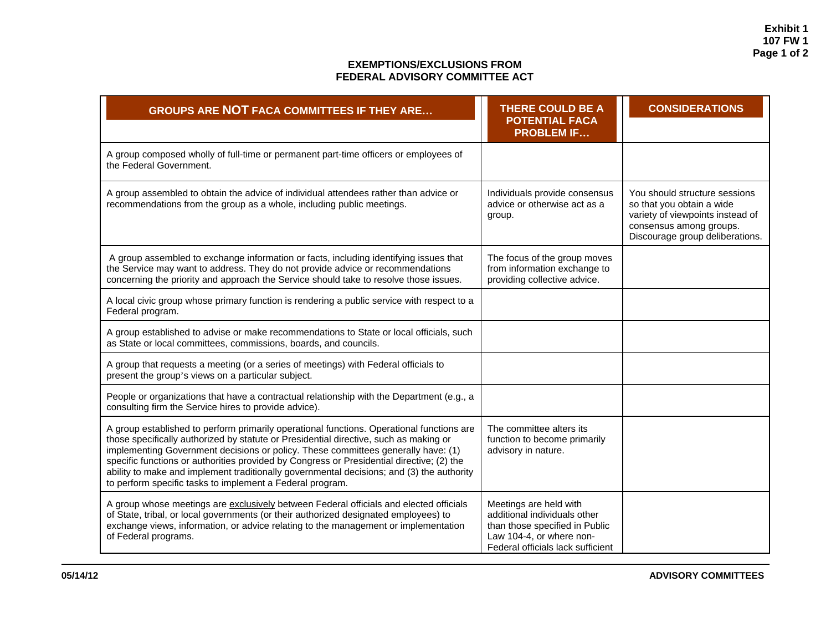**Exhibit 1 107 FW 1 Page 1 of 2** 

## **EXEMPTIONS/EXCLUSIONS FROM FEDERAL ADVISORY COMMITTEE ACT**

| <b>GROUPS ARE NOT FACA COMMITTEES IF THEY ARE</b>                                                                                                                                                                                                                                                                                                                                                                                                                                                                              | <b>THERE COULD BE A</b><br><b>POTENTIAL FACA</b><br><b>PROBLEM IF</b>                                                                                     | <b>CONSIDERATIONS</b>                                                                                                                                        |
|--------------------------------------------------------------------------------------------------------------------------------------------------------------------------------------------------------------------------------------------------------------------------------------------------------------------------------------------------------------------------------------------------------------------------------------------------------------------------------------------------------------------------------|-----------------------------------------------------------------------------------------------------------------------------------------------------------|--------------------------------------------------------------------------------------------------------------------------------------------------------------|
| A group composed wholly of full-time or permanent part-time officers or employees of<br>the Federal Government.                                                                                                                                                                                                                                                                                                                                                                                                                |                                                                                                                                                           |                                                                                                                                                              |
| A group assembled to obtain the advice of individual attendees rather than advice or<br>recommendations from the group as a whole, including public meetings.                                                                                                                                                                                                                                                                                                                                                                  | Individuals provide consensus<br>advice or otherwise act as a<br>group.                                                                                   | You should structure sessions<br>so that you obtain a wide<br>variety of viewpoints instead of<br>consensus among groups.<br>Discourage group deliberations. |
| A group assembled to exchange information or facts, including identifying issues that<br>the Service may want to address. They do not provide advice or recommendations<br>concerning the priority and approach the Service should take to resolve those issues.                                                                                                                                                                                                                                                               | The focus of the group moves<br>from information exchange to<br>providing collective advice.                                                              |                                                                                                                                                              |
| A local civic group whose primary function is rendering a public service with respect to a<br>Federal program.                                                                                                                                                                                                                                                                                                                                                                                                                 |                                                                                                                                                           |                                                                                                                                                              |
| A group established to advise or make recommendations to State or local officials, such<br>as State or local committees, commissions, boards, and councils.                                                                                                                                                                                                                                                                                                                                                                    |                                                                                                                                                           |                                                                                                                                                              |
| A group that requests a meeting (or a series of meetings) with Federal officials to<br>present the group's views on a particular subject.                                                                                                                                                                                                                                                                                                                                                                                      |                                                                                                                                                           |                                                                                                                                                              |
| People or organizations that have a contractual relationship with the Department (e.g., a<br>consulting firm the Service hires to provide advice).                                                                                                                                                                                                                                                                                                                                                                             |                                                                                                                                                           |                                                                                                                                                              |
| A group established to perform primarily operational functions. Operational functions are<br>those specifically authorized by statute or Presidential directive, such as making or<br>implementing Government decisions or policy. These committees generally have: (1)<br>specific functions or authorities provided by Congress or Presidential directive; (2) the<br>ability to make and implement traditionally governmental decisions; and (3) the authority<br>to perform specific tasks to implement a Federal program. | The committee alters its<br>function to become primarily<br>advisory in nature.                                                                           |                                                                                                                                                              |
| A group whose meetings are exclusively between Federal officials and elected officials<br>of State, tribal, or local governments (or their authorized designated employees) to<br>exchange views, information, or advice relating to the management or implementation<br>of Federal programs.                                                                                                                                                                                                                                  | Meetings are held with<br>additional individuals other<br>than those specified in Public<br>Law 104-4, or where non-<br>Federal officials lack sufficient |                                                                                                                                                              |